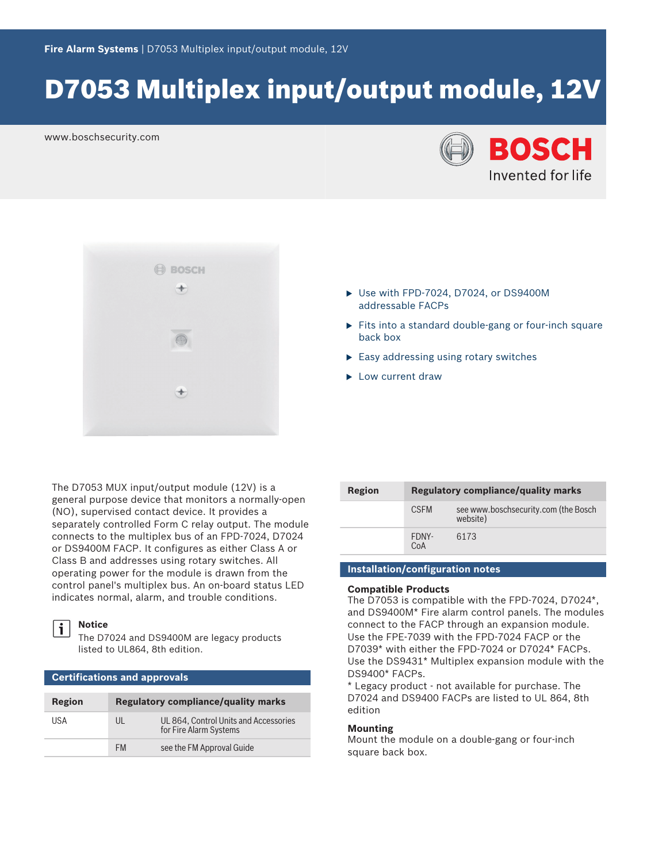# D7053 Multiplex input/output module, 12V

www.boschsecurity.com





The D7053 MUX input/output module (12V) is a general purpose device that monitors a normally-open (NO), supervised contact device. It provides a separately controlled Form C relay output. The module connects to the multiplex bus of an FPD-7024, D7024 or DS9400M FACP. It configures as either Class A or Class B and addresses using rotary switches. All operating power for the module is drawn from the control panel's multiplex bus. An on-board status LED indicates normal, alarm, and trouble conditions.

# i

**Notice**

**Certifications and approvals**

The D7024 and DS9400M are legacy products listed to UL864, 8th edition.

| <b>Region</b> | <b>Regulatory compliance/quality marks</b> |                                                                 |  |
|---------------|--------------------------------------------|-----------------------------------------------------------------|--|
| USA           | UL                                         | UL 864, Control Units and Accessories<br>for Fire Alarm Systems |  |
|               | FM                                         | see the FM Approval Guide                                       |  |
|               |                                            |                                                                 |  |

| Region | Regulatory compliance/quality marks |                                                  |  |
|--------|-------------------------------------|--------------------------------------------------|--|
|        | <b>CSFM</b>                         | see www.boschsecurity.com (the Bosch<br>website) |  |
|        | FDNY-<br>CoA                        | 6173                                             |  |

 $\triangleright$  Use with FPD-7024, D7024, or DS9400M

 $\blacktriangleright$  Easy addressing using rotary switches

 $\blacktriangleright$  Fits into a standard double-gang or four-inch square

addressable FACPs

back box

 $\blacktriangleright$  Low current draw

### **Installation/configuration notes**

#### **Compatible Products**

The D7053 is compatible with the FPD-7024, D7024\*, and DS9400M\* Fire alarm control panels. The modules connect to the FACP through an expansion module. Use the FPE‑7039 with the FPD-7024 FACP or the D7039\* with either the FPD‑7024 or D7024\* FACPs. Use the DS9431\* Multiplex expansion module with the DS9400\* FACPs.

\* Legacy product - not available for purchase. The D7024 and DS9400 FACPs are listed to UL 864, 8th edition

#### **Mounting**

Mount the module on a double-gang or four-inch square back box.